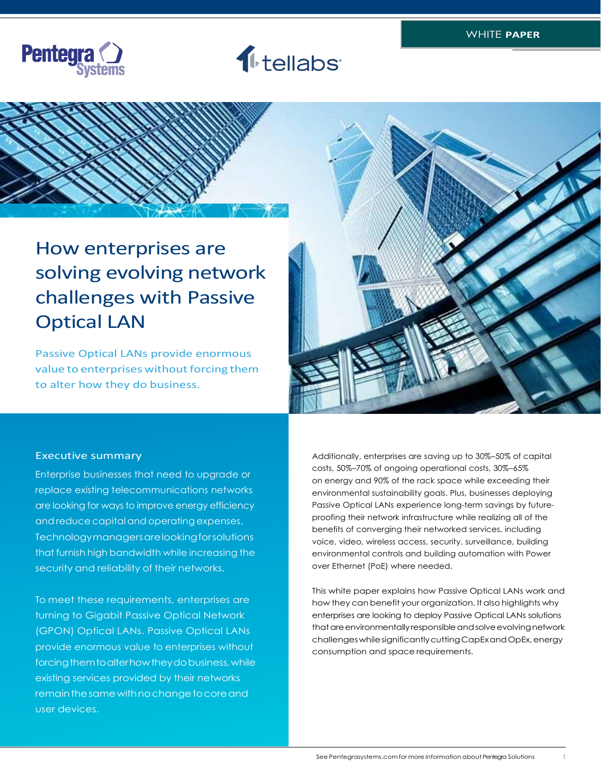





# How enterprises are How enterprises are solving evolving network solving evolving network challenges with passive challenges with Passive optical LAN Optical LAN

Passive Optical LANs provide enormous<br>value to enterprises without forcing them value to enterprises without forcing them to alter how they do business. to alter how they dobusiness.Executive summary



#### Executive summary

Enterprise businesses that need to upgrade or Enterprise businesses that need to upgrade or replace existing telecommunications networks replace existing telecommunications networks are looking for ways to improve energy efficiency and reduce capital and operating expenses. Technology managers are looking for solutions Technologymanagersarelookingforsolutions that furnish high bandwidth while increasing the that furnish high bandwidth while increasing the security and reliability of their networks. security and reliability of their networks.

To meet these requirements, enterprises are To meet these requirements, enterprises are turning to Gigabit Passive Optical Network (GPON) Optical LANs. Passive Optical LANs (GPON) Optical LANs. Passive Optical LANs provide enormous value to enterprises without forcing them to alter how they do business, while existing services provided by their networks remain the same with no change to core and user devices.

Additionally, enterprises are saving up to 30%–50% of capital costs, 50%–70% of ongoing operational costs, 30%–65% on energy and 90% of the rack space while exceeding their environmental sustainability goals. Plus, businesses deploying Passive Optical LANs experience long-term savings by futureproofing their network infrastructure while realizing all of the benefits of converging their networked services, including voice, video, wireless access, security, surveillance, building environmental controls and building automation with Power over Ethernet (PoE) where needed.

This white paper explains how Passive Optical LANs work and how they can benefit your organization. It also highlights why enterprises are looking to deploy Passive Optical LANs solutions that are environmentally responsible and solve evolving network challengeswhilesignificantlycuttingCapExandOpEx,energy consumption and space requirements.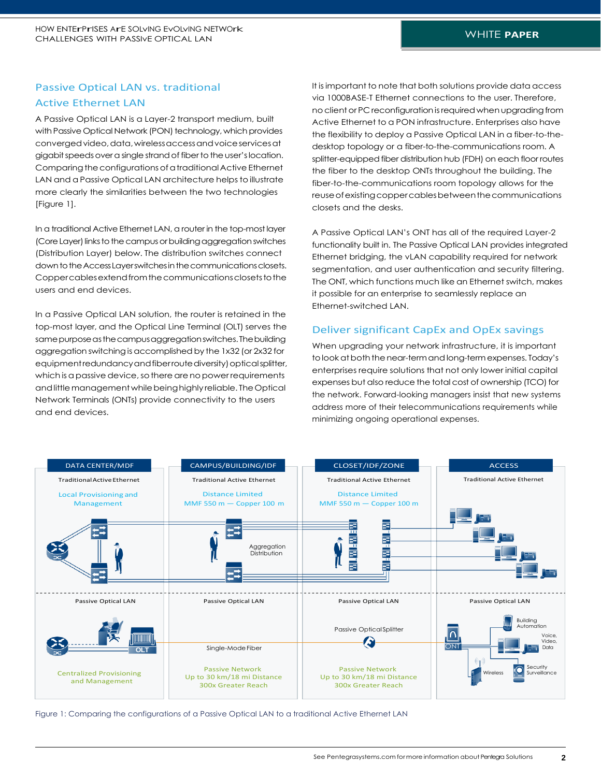# Passive Optical LAN vs. traditional Active Ethernet LAN

A Passive Optical LAN is a Layer-2 transport medium, built with Passive Optical Network (PON) technology, which provides convergedvideo,data,wirelessaccessandvoiceservicesat gigabit speeds over a single strand of fiber to the user's location. Comparing the configurations of a traditional Active Ethernet LAN and a Passive Optical LAN architecture helps to illustrate more clearly the similarities between the two technologies [Figure 1].

In a traditional Active Ethernet LAN, a router in the top-mostlayer (Core Layer) links to the campus or building aggregation switches (Distribution Layer) below. The distribution switches connect down to the Access Layer switches in the communications closets. Coppercablesextendfromthecommunicationsclosetstothe users and end devices.

In a Passive Optical LAN solution, the router is retained in the top-most layer, and the Optical Line Terminal (OLT) serves the same purpose as the campus aggregation switches. The building aggregation switchingis accomplishedby the 1x32 (or 2x32 for equipment redundancy and fiber route diversity) optical splitter, which is a passive device, so there are no power requirements andlittlemanagementwhilebeinghighly reliable. TheOptical Network Terminals (ONTs) provide connectivity to the users and end devices.

It isimportant to note that both solutions provide data access via 1000BASE-T Ethernet connections to the user. Therefore, no client or PC reconfiguration is required when upgrading from Active Ethernet to a PON infrastructure. Enterprises also have the flexibility to deploy a Passive Optical LAN in a fiber-to-thedesktop topology or a fiber-to-the-communications room. A splitter-equipped fiber distribution hub (FDH) on each floor routes the fiber to the desktop ONTs throughout the building. The fiber-to-the-communications room topology allows for the reuseofexistingcoppercablesbetweenthecommunications closets and the desks.

A Passive Optical LAN's ONT has all of the required Layer-2 functionality built in. The Passive Optical LAN provides integrated Ethernet bridging, the vLAN capability required for network segmentation, and user authentication and security filtering. The ONT, which functions much like an Ethernet switch, makes it possible for an enterprise to seamlessly replace an Ethernet-switched LAN.

## Deliver significant CapEx and OpEx savings

When upgrading your network infrastructure, it is important to look at both the near-term and long-term expenses. Today's enterprises require solutions that not only lower initial capital expenses but also reduce the total cost of ownership (TCO) for the network. Forward-looking managers insist that new systems address more of their telecommunications requirements while minimizing ongoing operational expenses.



Figure 1: Comparing the configurations of a Passive Optical LAN to a traditional Active Ethernet LAN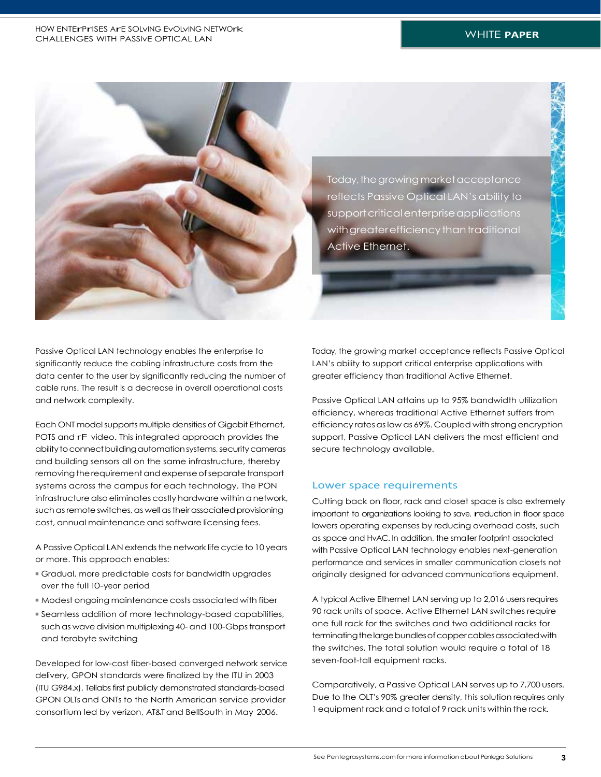

Passive Optical LAN technology enables the enterprise to significantly reduce the cabling infrastructure costs from the data center to the user by significantly reducing the number of cable runs. The result is a decrease in overall operational costs and network complexity.

Each ONT model supports multiple densities of Gigabit Ethernet, POTS and rF video. This integrated approach provides the ability to connect building automation systems, security cameras and building sensors all on the same infrastructure, thereby removing the requirement and expense of separate transport systems across the campus for each technology. The PON infrastructure also eliminates costly hardware within a network, such as remote switches, as well as their associated provisioning cost, annual maintenance and software licensing fees.

A Passive Optical LAN extends the network life cycle to 10 years or more. This approach enables:

- Gradual, more predictable costs for bandwidth upgrades over the full 10-year period
- Modest ongoing maintenance costs associated with fiber
- Seamless addition of more technology-based capabilities, such as wave division multiplexing 40- and 100-Gbps transport and terabyte switching

Developed for low-cost fiber-based converged network service delivery, GPON standards were finalized by the ITU in 2003 (ITU G984.x). Tellabs first publicly demonstrated standards-based GPON OLTs and ONTs to the North American service provider consortium led by verizon, AT&T and BellSouth in May 2006.

Today, the growing market acceptance reflects Passive Optical LAN's ability to support critical enterprise applications with greater efficiency than traditional Active Ethernet.

Passive Optical LAN attains up to 95% bandwidth utilization efficiency, whereas traditional Active Ethernet suffers from efficiency rates as low as 69%. Coupled with strong encryption support, Passive Optical LAN delivers the most efficient and secure technology available.

#### Lower space requirements

Cutting back on floor, rack and closet space is also extremely important to organizations looking to save. reduction in floor space lowers operating expenses by reducing overhead costs, such as space and HvAC. In addition, the smaller footprint associated with Passive Optical LAN technology enables next-generation performance and services in smaller communication closets not originally designed for advanced communications equipment.

A typical Active Ethernet LAN serving up to 2,016 users requires 90 rack units of space. Active Ethernet LAN switches require one full rack for the switches and two additional racks for terminating the large bundles of copper cables associated with the switches. The total solution would require a total of 18 seven-foot-tall equipment racks.

Comparatively, a Passive Optical LAN serves up to 7,700 users. Due to the OLT's 90% greater density, this solution requires only 1 equipment rack and a totalof 9 rack units within the rack.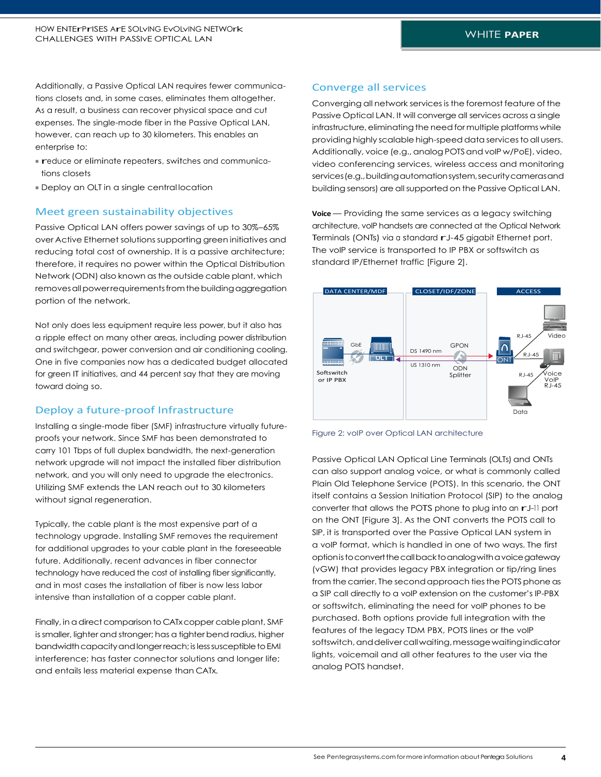Additionally, a Passive Optical LAN requires fewer communications closets and, in some cases, eliminates them altogether. As a result, a business can recover physical space and cut expenses. The single-mode fiber in the Passive Optical LAN, however, can reach up to 30 kilometers. This enables an enterprise to:

- reduce or eliminate repeaters, switches and communications closets
- Deploy an OLT in a single central location

#### Meet green sustainability objectives

Passive Optical LAN offers power savings of up to 30%–65% over Active Ethernet solutions supporting green initiatives and reducing total cost of ownership. It is a passive architecture; therefore, it requires no power within the Optical Distribution Network (ODN) also known asthe outside cable plant, which removes all power requirements from the building aggregation portion of the network.

Not only does less equipment require less power, but it also has a ripple effect on many other areas, including power distribution and switchgear, power conversion and air conditioning cooling. One in five companies now has a dedicated budget allocated for green IT initiatives, and 44 percent say that they are moving toward doing so.

#### Deploy a future-proof Infrastructure

Installing a single-mode fiber (SMF) infrastructure virtually futureproofs your network. Since SMF has been demonstrated to carry 101 Tbps of full duplex bandwidth, the next-generation network upgrade will not impact the installed fiber distribution network, and you will only need to upgrade the electronics. Utilizing SMF extends the LAN reach out to 30 kilometers without signal regeneration.

Typically, the cable plant is the most expensive part of a technology upgrade. Installing SMF removes the requirement for additional upgrades to your cable plant in the foreseeable future. Additionally, recent advances in fiber connector technology have reduced the cost of installing fiber significantly, and in most cases the installation of fiber is now less labor intensive than installation of a copper cable plant.

Finally, in a direct comparison to CATx copper cable plant, SMF is smaller, lighter and stronger; has a tighter bend radius, higher bandwidth capacity and longer reach; is less susceptible to EMI interference; has faster connector solutions and longer life; and entails less material expense than CATx.

#### Converge all services

Converging all network services is the foremost feature of the Passive Optical LAN. It will converge all services across a single infrastructure, eliminating the need for multiple platforms while providing highly scalable high-speed data services to all users. Additionally, voice (e.g., analog POTS and voIP w/PoE), video, video conferencing services, wireless access and monitoring services(e.g.,buildingautomationsystem,securitycamerasand building sensors) are all supportedon the Passive Optical LAN.

**Voice** — Providing the same services as a legacy switching architecture, voIP handsets are connected at the Optical Network Terminals (ONTs) via a standard rJ-45 gigabit Ethernet port. The voIP service is transported to IP PBX or softswitch as standard IP/Ethernet traffic [Figure 2].



Figure 2: voIP over Optical LAN architecture

Passive Optical LAN Optical Line Terminals (OLTs) and ONTs can also support analog voice, or what is commonly called Plain Old Telephone Service (POTS). In this scenario, the ONT itself contains a Session Initiation Protocol (SIP) to the analog converter that allows the POTS phone to plug into an rJ-11 port on the ONT [Figure 3]. As the ONT converts the POTS call to SIP, it is transported over the Passive Optical LAN system in a voIP format, which is handled in one of two ways. The first optionistoconvertthecallbacktoanalogwithavoicegateway (vGW) that provides legacy PBX integration or tip/ring lines from the carrier. The second approach ties the POTS phone as a SIP call directly to a voIP extension on the customer's IP-PBX or softswitch, eliminating the need for voIP phones to be purchased. Both options provide full integration with the features of the legacy TDM PBX, POTS lines or the voIP softswitch, and deliver call waiting, message waiting indicator lights, voicemail and all other features to the user via the analog POTS handset.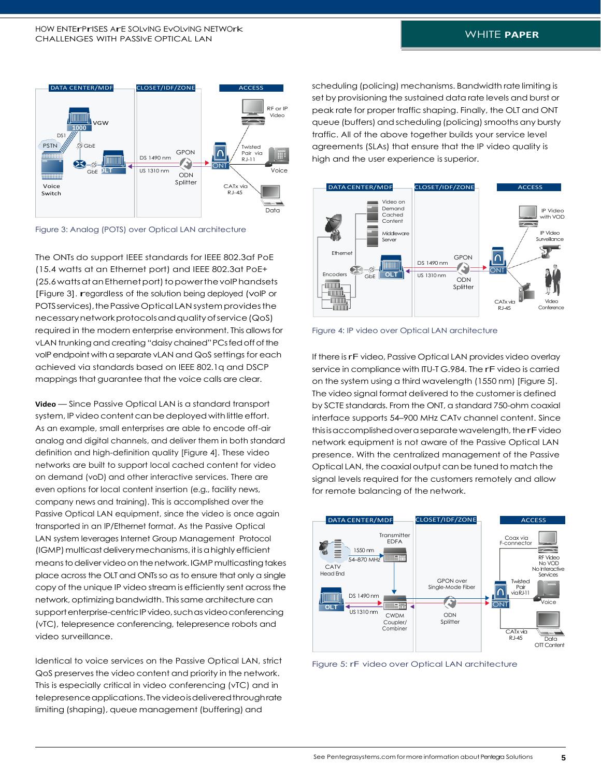

Figure 3: Analog (POTS) over Optical LAN architecture

The ONTs do support IEEE standards for IEEE 802.3af PoE (15.4 watts at an Ethernet port) and IEEE 802.3at PoE+ (25.6 watts at an Ethernet port) to power the voIP handsets [Figure 3]. regardless of the solution being deployed (voIP or POTS services), the Passive Optical LAN system provides the necessarynetworkprotocolsandqualityofservice(QoS) required in the modern enterprise environment. This allowsfor vLAN trunking and creating "daisy chained" PCs fed off of the voIP endpoint with a separate vLAN and QoS settings for each achieved via standards based on IEEE 802.1q and DSCP mappings that guarantee that the voice calls are clear.

**Video** — Since Passive Optical LAN is a standard transport system, IP video content can be deployed with little effort. As an example, small enterprises are able to encode off-air analog and digital channels, and deliver them in both standard definition and high-definition quality [Figure 4]. These video networks are built to support local cached content for video on demand (voD) and other interactive services. There are even options for local content insertion (e.g., facility news, company news and training). This is accomplished over the Passive Optical LAN equipment, since the video is once again transported in an IP/Ethernet format. As the Passive Optical LAN system leverages Internet Group Management Protocol LAN system leverages internet Group Management Protocol<br>(IGMP) multicast delivery mechanisms, it is a highly efficient means to deliver video on the network. IGMP multicasting takes place across the OLT and ONTs so as to ensure that only a single copy of the unique IP video stream is efficiently sent acrossthe network, optimizing bandwidth. Thissame architecture can support enterprise-centric IP video, such as video conferencing (vTC), telepresence conferencing, telepresence robots and video surveillance.

Identical to voice services on the Passive Optical LAN, strict QoS preserves the video content and priority in the network. This is especially critical in video conferencing (vTC) and in telepresence applications. The videois delivered through rate limiting (shaping), queue management (buffering) and

scheduling (policing) mechanisms. Bandwidth rate limiting is set by provisioning the sustained data rate levels and burst or peak rate for proper traffic shaping. Finally, the OLT and ONT queue (buffers) and scheduling (policing) smooths any bursty traffic. All of the above together builds your service level agreements (SLAs) that ensure that the IP video quality is high and the user experience is superior.



Figure 4: IP video over Optical LAN architecture

If there is rF video, Passive Optical LAN provides video overlay service in compliance with ITU-T G.984. The rF video is carried on the system using a third wavelength (1550 nm) [Figure 5]. The video signal format delivered to the customer is defined by SCTE standards. From the ONT, a standard 750-ohm coaxial interface supports 54–900 MHz CATv channel content. Since this is accomplished over a separate wavelength, the rF video network equipment is not aware of the Passive Optical LAN presence. With the centralized management of the Passive Optical LAN, the coaxial output can be tuned to match the signal levels required for the customers remotely and allow for remote balancing of the network.



Figure 5: rF video over Optical LAN architecture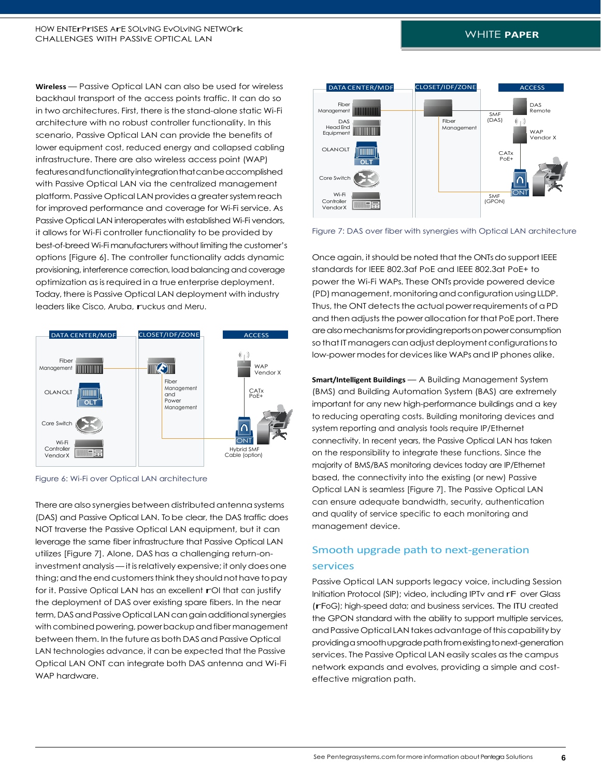**Wireless** — Passive Optical LAN can also be used for wireless backhaul transport of the access points traffic. It can do so in two architectures. First, there is the stand-alone static Wi-Fi architecture with no robust controller functionality. In this scenario, Passive Optical LAN can provide the benefits of lower equipment cost, reduced energy and collapsed cabling infrastructure. There are also wireless access point (WAP) featuresandfunctionalityintegrationthatcanbeaccomplished with Passive Optical LAN via the centralized management platform. Passive Optical LAN provides a greater system reach for improved performance and coverage for Wi-Fi service. As Passive Optical LAN interoperates with established Wi-Fi vendors, it allows for Wi-Fi controller functionality to be provided by best-of-breed Wi-Fi manufacturers without limiting the customer's options [Figure 6]. The controller functionality adds dynamic provisioning, interference correction, load balancing and coverage optimization as is required in a true enterprise deployment. Today, there is Passive Optical LAN deployment with industry leaders like Cisco, Aruba, ruckus and Meru.



Figure 6: Wi-Fi over Optical LAN architecture

There are also synergies between distributed antenna systems (DAS) and Passive Optical LAN. To be clear, the DAS traffic does NOT traverse the Passive Optical LAN equipment, but it can leverage the same fiber infrastructure that Passive Optical LAN utilizes [Figure 7]. Alone, DAS has a challenging return-oninvestment analysis — it is relatively expensive; it only does one thing; and the end customers think they should not have to pay for it. Passive Optical LAN has an excellent rOI that can justify the deployment of DAS over existing spare fibers. In the near term, DAS and Passive Optical LAN can gain additional synergies with combined powering, power backup and fiber management between them. In the future as both DAS and Passive Optical LAN technologies advance, it can be expected that the Passive Optical LAN ONT can integrate both DAS antenna and Wi-Fi WAP hardware.



Figure 7: DAS over fiber with synergies with Optical LAN architecture

Once again, it should be noted that the ONTs do support IEEE standards for IEEE 802.3af PoE and IEEE 802.3at PoE+ to power the Wi-Fi WAPs. These ONTs provide powered device (PD) management, monitoring and configuration using LLDP. Thus, the ONT detects the actual power requirements of a PD and then adjusts the power allocation for that PoE port. There are also mechanisms for providing reports on power consumption so that IT managers can adjust deployment configurations to low-power modes for devices like WAPs and IP phones alike.

**Smart/Intelligent Buildings** — A Building Management System (BMS) and Building Automation System (BAS) are extremely important for any new high-performance buildings and a key to reducing operating costs. Building monitoring devices and system reporting and analysis tools require IP/Ethernet connectivity. In recent years, the Passive Optical LAN has taken on the responsibility to integrate these functions. Since the majority of BMS/BAS monitoring devices today are IP/Ethernet based, the connectivity into the existing (or new) Passive Optical LAN is seamless [Figure 7]. The Passive Optical LAN can ensure adequate bandwidth, security, authentication and quality of service specific to each monitoring and management device.

# Smooth upgrade path to next-generation services

Passive Optical LAN supports legacy voice, including Session Initiation Protocol (SIP); video, including IPTv and rF over Glass (rFoG); high-speed data; and business services. The ITU created the GPON standard with the ability to support multiple services, and Passive Optical LAN takes advantage of this capability by providingasmoothupgradepathfromexistingtonext-generation services. The Passive Optical LAN easily scales as the campus network expands and evolves, providing a simple and costeffective migration path.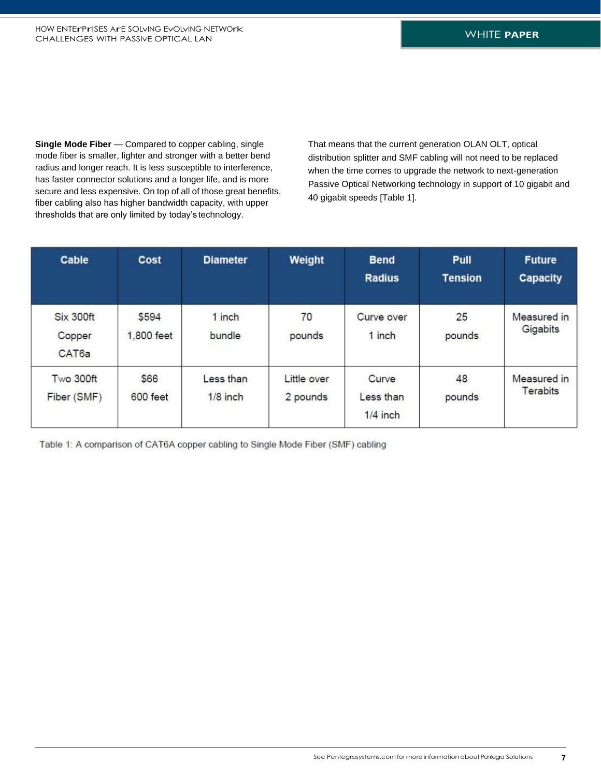**Single Mode Fiber** — Compared to copper cabling, single mode fiber is smaller, lighter and stronger with a better bend radius and longer reach. It is less susceptible to interference, has faster connector solutions and a longer life, and is more secure and less expensive. On top of all of those great benefits, fiber cabling also has higher bandwidth capacity, with upper thresholds that are only limited by today's technology.

That means that the current generation OLAN OLT, optical distribution splitter and SMF cabling will not need to be replaced when the time comes to upgrade the network to next-generation Passive Optical Networking technology in support of 10 gigabit and 40 gigabit speeds [Table 1].

| Cable                        | Cost                | <b>Diameter</b>         | Weight                  | <b>Bend</b><br><b>Radius</b>     | Pull<br><b>Tension</b> | <b>Future</b><br><b>Capacity</b> |
|------------------------------|---------------------|-------------------------|-------------------------|----------------------------------|------------------------|----------------------------------|
| Six 300ft<br>Copper<br>CAT6a | \$594<br>1,800 feet | 1 inch<br>bundle        | 70<br>pounds            | Curve over<br>1 inch             | 25<br>pounds           | Measured in<br>Gigabits          |
| Two 300ft<br>Fiber (SMF)     | \$66<br>600 feet    | Less than<br>$1/8$ inch | Little over<br>2 pounds | Curve<br>Less than<br>$1/4$ inch | 48<br>pounds           | Measured in<br><b>Terabits</b>   |

Table 1: A comparison of CAT6A copper cabling to Single Mode Fiber (SMF) cabling